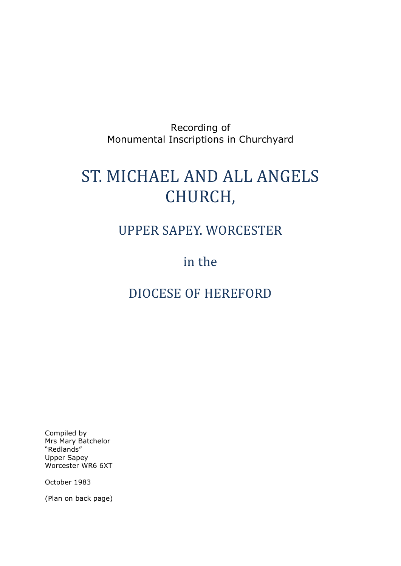#### Recording of Monumental Inscriptions in Churchyard

# ST. MICHAEL AND ALL ANGELS CHURCH,

## UPPER SAPEY. WORCESTER

## in the

## DIOCESE OF HEREFORD

Compiled by Mrs Mary Batchelor "Redlands" Upper Sapey Worcester WR6 6XT

October 1983

(Plan on back page)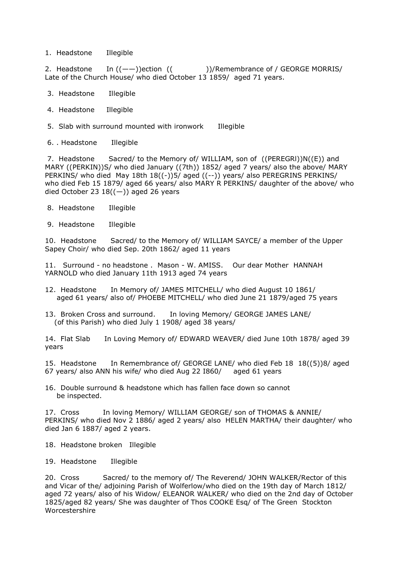1. Headstone Illegible

2. Headstone In  $((--)$ )ection  $((-+)$ )/Remembrance of / GEORGE MORRIS/ Late of the Church House/ who died October 13 1859/ aged 71 years.

- 3. Headstone Illegible
- 4. Headstone Illegible
- 5. Slab with surround mounted with ironwork Illegible
- 6. . Headstone Illegible

7. Headstone Sacred/ to the Memory of/ WILLIAM, son of ((PEREGRl))N((E)) and MARY ((PERKIN))S/ who died January ((7th)) 1852/ aged 7 years/ also the above/ MARY PERKINS/ who died May 18th 18((-))5/ aged ((--)) years/ also PEREGRINS PERKINS/ who died Feb 15 1879/ aged 66 years/ also MARY R PERKINS/ daughter of the above/ who died October 23  $18((-))$  aged 26 years

- 8. Headstone Illegible
- 9. Headstone Illegible

10. Headstone Sacred/ to the Memory of/ WILLIAM SAYCE/ a member of the Upper Sapey Choir/ who died Sep. 20th 1862/ aged 11 years

11. Surround - no headstone . Mason - W. AMISS. Our dear Mother HANNAH YARNOLD who died January 11th 1913 aged 74 years

- 12. Headstone In Memory of/ JAMES MITCHELL/ who died August 10 1861/ aged 61 years/ also of/ PHOEBE MITCHELL/ who died June 21 1879/aged 75 years
- 13. Broken Cross and surround. In loving Memory/ GEORGE JAMES LANE/ (of this Parish) who died July 1 1908/ aged 38 years/

14. Flat Slab In Loving Memory of/ EDWARD WEAVER/ died June 10th 1878/ aged 39 years

15. Headstone In Remembrance of/ GEORGE LANE/ who died Feb 18 18((5))8/ aged 67 years/ also ANN his wife/ who died Aug 22 I860/ aged 61 years

16. Double surround & headstone which has fallen face down so cannot be inspected.

17. Cross In loving Memory/ WILLIAM GEORGE/ son of THOMAS & ANNIE/ PERKINS/ who died Nov 2 1886/ aged 2 years/ also HELEN MARTHA/ their daughter/ who died Jan 6 1887/ aged 2 years.

- 18. Headstone broken Illegible
- 19. Headstone Illegible

20. Cross Sacred/ to the memory of/ The Reverend/ JOHN WALKER/Rector of this and Vicar of the/ adjoining Parish of Wolferlow/who died on the 19th day of March 1812/ aged 72 years/ also of his Widow/ ELEANOR WALKER/ who died on the 2nd day of October 1825/aged 82 years/ She was daughter of Thos COOKE Esq/ of The Green Stockton Worcestershire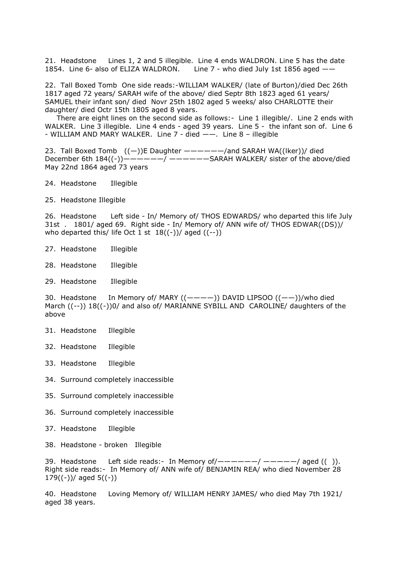21. Headstone Lines 1, 2 and 5 illegible. Line 4 ends WALDRON. Line 5 has the date 1854. Line 6- also of ELIZA WALDRON. Line 7 - who died July 1st 1856 aged ——

22. Tall Boxed Tomb One side reads:-WILLIAM WALKER/ (late of Burton)/died Dec 26th 1817 aged 72 years/ SARAH wife of the above/ died Septr 8th 1823 aged 61 years/ SAMUEL their infant son/ died Novr 25th 1802 aged 5 weeks/ also CHARLOTTE their daughter/ died Octr 15th 1805 aged 8 years.

 There are eight lines on the second side as follows:- Line 1 illegible/. Line 2 ends with WALKER. Line 3 illegible. Line 4 ends - aged 39 years. Line 5 - the infant son of. Line 6 - WILLIAM AND MARY WALKER. Line  $7$  - died  $--$ . Line  $8$  – illegible

23. Tall Boxed Tomb  $((-))E$  Daughter  $------/$ and SARAH WA((lker))/ died December 6th  $184((-))$ —————/ ——————SARAH WALKER/ sister of the above/died May 22nd 1864 aged 73 years

- 24. Headstone Illegible
- 25. Headstone Illegible

26. Headstone Left side - In/ Memory of/ THOS EDWARDS/ who departed this life July 31st . 1801/ aged 69. Right side - In/ Memory of/ ANN wife of/ THOS EDWAR((DS))/ who departed this/ life Oct 1 st  $18((-))$ / aged  $((-))$ 

- 27. Headstone Illegible
- 28. Headstone Illegible
- 29. Headstone Illegible

30. Headstone In Memory of/ MARY ((————)) DAVID LIPSOO ((——))/who died March ((--)) 18((-))0/ and also of/ MARIANNE SYBILL AND CAROLINE/ daughters of the above

- 31. Headstone Illegible
- 32. Headstone Illegible
- 33. Headstone Illegible
- 34. Surround completely inaccessible
- 35. Surround completely inaccessible
- 36. Surround completely inaccessible
- 37. Headstone Illegible
- 38. Headstone broken Illegible

39. Headstone Left side reads:- In Memory of  $\mu$  -  $\mu$  -  $\mu$  -  $\mu$  -  $\mu$  and  $($  ()). Right side reads:- In Memory of/ ANN wife of/ BENJAMIN REA/ who died November 28 179 $((-))/$  aged 5 $((-)$ 

40. Headstone Loving Memory of/ WILLIAM HENRY JAMES/ who died May 7th 1921/ aged 38 years.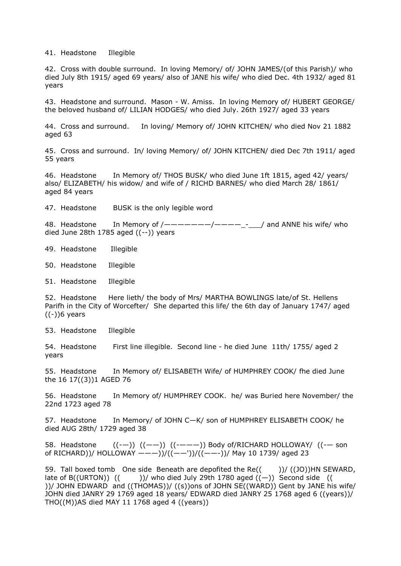41. Headstone Illegible

42. Cross with double surround. In loving Memory/ of/ JOHN JAMES/(of this Parish)/ who died July 8th 1915/ aged 69 years/ also of JANE his wife/ who died Dec. 4th 1932/ aged 81 years

43. Headstone and surround. Mason - W. Amiss. In loving Memory of/ HUBERT GEORGE/ the beloved husband of/ LILIAN HODGES/ who died July. 26th 1927/ aged 33 years

44. Cross and surround. In loving/ Memory of/ JOHN KITCHEN/ who died Nov 21 1882 aged 63

45. Cross and surround. In/ loving Memory/ of/ JOHN KITCHEN/ died Dec 7th 1911/ aged 55 years

46. Headstone In Memory of/ THOS BUSK/ who died June 1ft 1815, aged 42/ years/ also/ ELIZABETH/ his widow/ and wife of / RICHD BARNES/ who died March 28/ 1861/ aged 84 years

47. Headstone BUSK is the only legible word

48. Headstone In Memory of /———————/————\_-\_\_\_/ and ANNE his wife/ who died June 28th 1785 aged  $((--)$ ) years

49. Headstone Illegible

50. Headstone Illegible

51. Headstone Illegible

52. Headstone Here lieth/ the body of Mrs/ MARTHA BOWLINGS late/of St. Hellens Parifh in the City of Worcefter/ She departed this life/ the 6th day of January 1747/ aged ((-))6 years

53. Headstone Illegible

54. Headstone First line illegible. Second line - he died June 11th/ 1755/ aged 2 years

55. Headstone In Memory of/ ELISABETH Wife/ of HUMPHREY COOK/ fhe died June the 16 17((3))1 AGED 76

56. Headstone In Memory of/ HUMPHREY COOK. he/ was Buried here November/ the 22nd 1723 aged 78

57. Headstone In Memory/ of JOHN C-K/ son of HUMPHREY ELISABETH COOK/ he died AUG 28th/ 1729 aged 38

58. Headstone  $((--))((--))((----))$  Body of/RICHARD HOLLOWAY/  $((--)$  son of RICHARD))/ HOLLOWAY ———))/((——'))/((——-))/ May 10 1739/ aged 23

59. Tall boxed tomb One side Beneath are depofited the Re( $($ ))/ $($ (JO))HN SEWARD, late of B((URTON))  $(()$ )/ who died July 29th 1780 aged  $((-))$  Second side ( ))/ JOHN EDWARD and ((THOMAS))/ ((s))ons of JOHN SE((WARD)) Gent by JANE his wife/ JOHN died JANRY 29 1769 aged 18 years/ EDWARD died JANRY 25 1768 aged 6 ((years))/ THO((M))AS died MAY 11 1768 aged 4 ((years))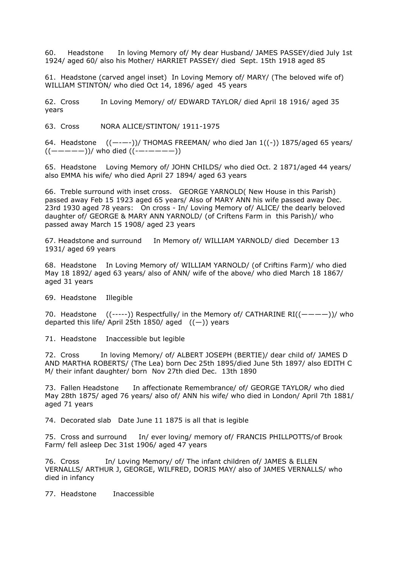60. Headstone In loving Memory of/ My dear Husband/ JAMES PASSEY/died July 1st 1924/ aged 60/ also his Mother/ HARRIET PASSEY/ died Sept. 15th 1918 aged 85

61. Headstone (carved angel inset) In Loving Memory of/ MARY/ (The beloved wife of) WILLIAM STINTON/ who died Oct 14, 1896/ aged 45 years

62. Cross In Loving Memory/ of/ EDWARD TAYLOR/ died April 18 1916/ aged 35 years

63. Cross NORA ALICE/STINTON/ 1911-1975

64. Headstone  $((----))$ / THOMAS FREEMAN/ who died Jan  $1((-))$  1875/aged 65 years/  $((----))$ / who died  $((-----)$ )

65. Headstone Loving Memory of/ JOHN CHILDS/ who died Oct. 2 1871/aged 44 years/ also EMMA his wife/ who died April 27 1894/ aged 63 years

66. Treble surround with inset cross. GEORGE YARNOLD( New House in this Parish) passed away Feb 15 1923 aged 65 years/ Also of MARY ANN his wife passed away Dec. 23rd 1930 aged 78 years: On cross - In/ Loving Memory of/ ALICE/ the dearly beloved daughter of/ GEORGE & MARY ANN YARNOLD/ (of Criftens Farm in this Parish)/ who passed away March 15 1908/ aged 23 years

67. Headstone and surround In Memory of/ WILLIAM YARNOLD/ died December 13 1931/ aged 69 years

68. Headstone In Loving Memory of/ WILLIAM YARNOLD/ (of Criftins Farm)/ who died May 18 1892/ aged 63 years/ also of ANN/ wife of the above/ who died March 18 1867/ aged 31 years

69. Headstone Illegible

70. Headstone  $((---))$  Respectfully/ in the Memory of/ CATHARINE RI $((----))$ / who departed this life/ April 25th 1850/ aged  $((-))$  years

71. Headstone Inaccessible but legible

72. Cross In loving Memory/ of/ ALBERT JOSEPH (BERTIE)/ dear child of/ JAMES D AND MARTHA ROBERTS/ (The Lea) born Dec 25th 1895/died June 5th 1897/ also EDITH C M/ their infant daughter/ born Nov 27th died Dec. 13th 1890

73. Fallen Headstone In affectionate Remembrance/ of/ GEORGE TAYLOR/ who died May 28th 1875/ aged 76 years/ also of/ ANN his wife/ who died in London/ April 7th 1881/ aged 71 years

74. Decorated slab Date June 11 1875 is all that is legible

75. Cross and surround In/ ever loving/ memory of/ FRANCIS PHILLPOTTS/of Brook Farm/ fell asleep Dec 31st 1906/ aged 47 years

76. Cross In/ Loving Memory/ of/ The infant children of/ JAMES & ELLEN VERNALLS/ ARTHUR J, GEORGE, WILFRED, DORIS MAY/ also of JAMES VERNALLS/ who died in infancy

77. Headstone Inaccessible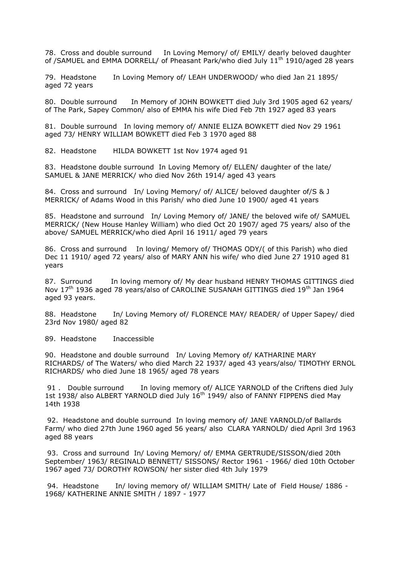78. Cross and double surround In Loving Memory/ of/ EMILY/ dearly beloved daughter of /SAMUEL and EMMA DORRELL/ of Pheasant Park/who died July 11<sup>th</sup> 1910/aged 28 years

79. Headstone In Loving Memory of/ LEAH UNDERWOOD/ who died Jan 21 1895/ aged 72 years

80. Double surround In Memory of JOHN BOWKETT died July 3rd 1905 aged 62 years/ of The Park, Sapey Common/ also of EMMA his wife Died Feb 7th 1927 aged 83 years

81. Double surround In loving memory of/ ANNIE ELIZA BOWKETT died Nov 29 1961 aged 73/ HENRY WILLIAM BOWKETT died Feb 3 1970 aged 88

82. Headstone HILDA BOWKETT 1st Nov 1974 aged 91

83. Headstone double surround In Loving Memory of/ ELLEN/ daughter of the late/ SAMUEL & JANE MERRICK/ who died Nov 26th 1914/ aged 43 years

84. Cross and surround In/ Loving Memory/ of/ ALICE/ beloved daughter of/S & J MERRICK/ of Adams Wood in this Parish/ who died June 10 1900/ aged 41 years

85. Headstone and surround In/ Loving Memory of/ JANE/ the beloved wife of/ SAMUEL MERRICK/ (New House Hanley William) who died Oct 20 1907/ aged 75 years/ also of the above/ SAMUEL MERRICK/who died April 16 1911/ aged 79 years

86. Cross and surround In loving/ Memory of/ THOMAS ODY/( of this Parish) who died Dec 11 1910/ aged 72 years/ also of MARY ANN his wife/ who died June 27 1910 aged 81 years

87. Surround In loving memory of/ My dear husband HENRY THOMAS GITTINGS died Nov  $17<sup>th</sup>$  1936 aged 78 years/also of CAROLINE SUSANAH GITTINGS died  $19<sup>th</sup>$  Jan 1964 aged 93 years.

88. Headstone In/ Loving Memory of/ FLORENCE MAY/ READER/ of Upper Sapey/ died 23rd Nov 1980/ aged 82

89. Headstone Inaccessible

90. Headstone and double surround In/ Loving Memory of/ KATHARINE MARY RICHARDS/ of The Waters/ who died March 22 1937/ aged 43 years/also/ TIMOTHY ERNOL RICHARDS/ who died June 18 1965/ aged 78 years

91 . Double surround In loving memory of/ ALICE YARNOLD of the Criftens died July 1st 1938/ also ALBERT YARNOLD died July 16<sup>th</sup> 1949/ also of FANNY FIPPENS died May 14th 1938

92. Headstone and double surround In loving memory of/ JANE YARNOLD/of Ballards Farm/ who died 27th June 1960 aged 56 years/ also CLARA YARNOLD/ died April 3rd 1963 aged 88 years

93. Cross and surround In/ Loving Memory/ of/ EMMA GERTRUDE/SISSON/died 20th September/ 1963/ REGINALD BENNETT/ SISSONS/ Rector 1961 - 1966/ died 10th October 1967 aged 73/ DOROTHY ROWSON/ her sister died 4th July 1979

94. Headstone In/ loving memory of/ WILLIAM SMITH/ Late of Field House/ 1886 -1968/ KATHERINE ANNIE SMITH / 1897 - 1977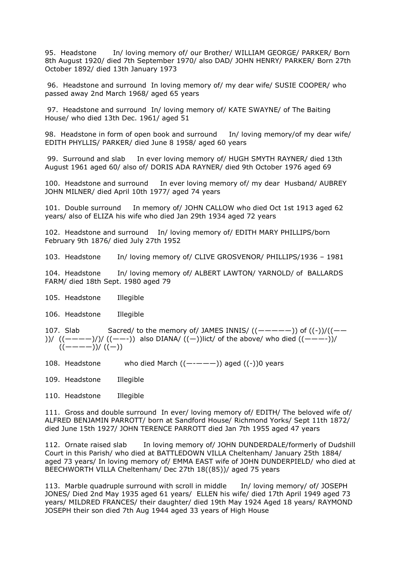95. Headstone In/ loving memory of/ our Brother/ WILLIAM GEORGE/ PARKER/ Born 8th August 1920/ died 7th September 1970/ also DAD/ JOHN HENRY/ PARKER/ Born 27th October 1892/ died 13th January 1973

96. Headstone and surround In loving memory of/ my dear wife/ SUSIE COOPER/ who passed away 2nd March 1968/ aged 65 years

97. Headstone and surround In/ loving memory of/ KATE SWAYNE/ of The Baiting House/ who died 13th Dec. 1961/ aged 51

98. Headstone in form of open book and surround In/ loving memory/of my dear wife/ EDITH PHYLLIS/ PARKER/ died June 8 1958/ aged 60 years

99. Surround and slab In ever loving memory of/ HUGH SMYTH RAYNER/ died 13th August 1961 aged 60/ also of/ DORIS ADA RAYNER/ died 9th October 1976 aged 69

100. Headstone and surround In ever loving memory of/ my dear Husband/ AUBREY JOHN MILNER/ died April 10th 1977/ aged 74 years

101. Double surround In memory of/ JOHN CALLOW who died Oct 1st 1913 aged 62 years/ also of ELIZA his wife who died Jan 29th 1934 aged 72 years

102. Headstone and surround In/ loving memory of/ EDITH MARY PHILLIPS/born February 9th 1876/ died July 27th 1952

103. Headstone In/ loving memory of/ CLIVE GROSVENOR/ PHILLIPS/1936 – 1981

104. Headstone In/ loving memory of/ ALBERT LAWTON/ YARNOLD/ of BALLARDS FARM/ died 18th Sept. 1980 aged 79

105. Headstone Illegible

106. Headstone Illegible

107. Slab Sacred/ to the memory of/ JAMES INNIS/ $((----))$  of  $((-))/((-$ ))/  $((----)/)/$   $((---)$  also DIANA/  $((-))$ lict/ of the above/ who died  $((----))/$ ((————))/ ((—))

- 108. Headstone who died March  $((----))$  aged  $((-))$ 0 years
- 109. Headstone Illegible
- 110. Headstone Illegible

111. Gross and double surround In ever/ loving memory of/ EDITH/ The beloved wife of/ ALFRED BENJAMIN PARROTT/ born at Sandford House/ Richmond Yorks/ Sept 11th 1872/ died June 15th 1927/ JOHN TERENCE PARROTT died Jan 7th 1955 aged 47 years

112. Ornate raised slab In loving memory of/ JOHN DUNDERDALE/formerly of Dudshill Court in this Parish/ who died at BATTLEDOWN VILLA Cheltenham/ January 25th 1884/ aged 73 years/ In loving memory of/ EMMA EAST wife of JOHN DUNDERPIELD/ who died at BEECHWORTH VILLA Cheltenham/ Dec 27th 18((85))/ aged 75 years

113. Marble quadruple surround with scroll in middle In/ loving memory/ of/ JOSEPH JONES/ Died 2nd May 1935 aged 61 years/ ELLEN his wife/ died 17th April 1949 aged 73 years/ MILDRED FRANCES/ their daughter/ died 19th May 1924 Aged 18 years/ RAYMOND JOSEPH their son died 7th Aug 1944 aged 33 years of High House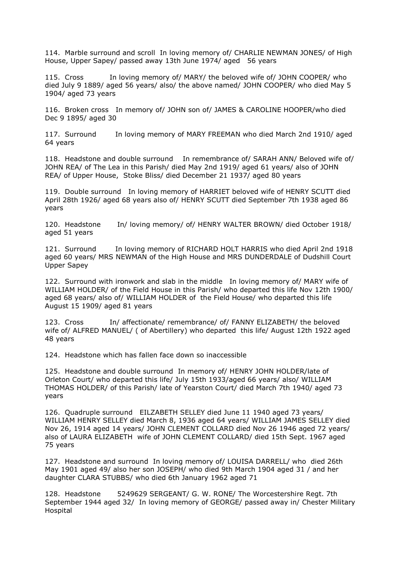114. Marble surround and scroll In loving memory of/ CHARLIE NEWMAN JONES/ of High House, Upper Sapey/ passed away 13th June 1974/ aged 56 years

115. Cross In loving memory of/ MARY/ the beloved wife of/ JOHN COOPER/ who died July 9 1889/ aged 56 years/ also/ the above named/ JOHN COOPER/ who died May 5 1904/ aged 73 years

116. Broken cross In memory of/ JOHN son of/ JAMES & CAROLINE HOOPER/who died Dec 9 1895/ aged 30

117. Surround In loving memory of MARY FREEMAN who died March 2nd 1910/ aged 64 years

118. Headstone and double surround In remembrance of/ SARAH ANN/ Beloved wife of/ JOHN REA/ of The Lea in this Parish/ died May 2nd 1919/ aged 61 years/ also of JOHN REA/ of Upper House, Stoke Bliss/ died December 21 1937/ aged 80 years

119. Double surround In loving memory of HARRIET beloved wife of HENRY SCUTT died April 28th 1926/ aged 68 years also of/ HENRY SCUTT died September 7th 1938 aged 86 years

120. Headstone In/ loving memory/ of/ HENRY WALTER BROWN/ died October 1918/ aged 51 years

121. Surround In loving memory of RICHARD HOLT HARRIS who died April 2nd 1918 aged 60 years/ MRS NEWMAN of the High House and MRS DUNDERDALE of Dudshill Court Upper Sapey

122. Surround with ironwork and slab in the middle In loving memory of/ MARY wife of WILLIAM HOLDER/ of the Field House in this Parish/ who departed this life Nov 12th 1900/ aged 68 years/ also of/ WILLIAM HOLDER of the Field House/ who departed this life August 15 1909/ aged 81 years

123. Cross In/ affectionate/ remembrance/ of/ FANNY ELIZABETH/ the beloved wife of/ ALFRED MANUEL/ ( of Abertillery) who departed this life/ August 12th 1922 aged 48 years

124. Headstone which has fallen face down so inaccessible

125. Headstone and double surround In memory of/ HENRY JOHN HOLDER/late of Orleton Court/ who departed this life/ July 15th 1933/aged 66 years/ also/ WILLIAM THOMAS HOLDER/ of this Parish/ late of Yearston Court/ died March 7th 1940/ aged 73 years

126. Quadruple surround EILZABETH SELLEY died June 11 1940 aged 73 years/ WILLIAM HENRY SELLEY died March 8, 1936 aged 64 years/ WILLIAM JAMES SELLEY died Nov 26, 1914 aged 14 years/ JOHN CLEMENT COLLARD died Nov 26 1946 aged 72 years/ also of LAURA ELIZABETH wife of JOHN CLEMENT COLLARD/ died 15th Sept. 1967 aged 75 years

127. Headstone and surround In loving memory of/ LOUISA DARRELL/ who died 26th May 1901 aged 49/ also her son JOSEPH/ who died 9th March 1904 aged 31 / and her daughter CLARA STUBBS/ who died 6th January 1962 aged 71

128. Headstone 5249629 SERGEANT/ G. W. RONE/ The Worcestershire Regt. 7th September 1944 aged 32/ In loving memory of GEORGE/ passed away in/ Chester Military Hospital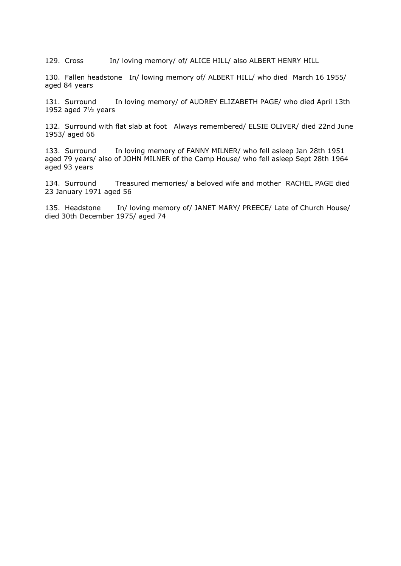129. Cross In/ loving memory/ of/ ALICE HILL/ also ALBERT HENRY HILL

130. Fallen headstone In/ lowing memory of/ ALBERT HILL/ who died March 16 1955/ aged 84 years

131. Surround In loving memory/ of AUDREY ELIZABETH PAGE/ who died April 13th 1952 aged 7½ years

132. Surround with flat slab at foot Always remembered/ ELSIE OLIVER/ died 22nd June 1953/ aged 66

133. Surround In loving memory of FANNY MILNER/ who fell asleep Jan 28th 1951 aged 79 years/ also of JOHN MILNER of the Camp House/ who fell asleep Sept 28th 1964 aged 93 years

134. Surround Treasured memories/ a beloved wife and mother RACHEL PAGE died 23 January 1971 aged 56

135. Headstone In/ loving memory of/ JANET MARY/ PREECE/ Late of Church House/ died 30th December 1975/ aged 74